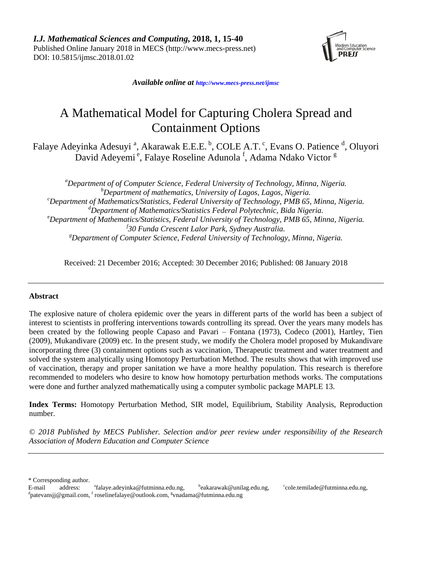

*Available online at [http://www.mecs-press.net/ijm](http://www.mecs-press.net/ijwmt)sc*

# A Mathematical Model for Capturing Cholera Spread and Containment Options

Falaye Adeyinka Adesuyi<sup>a</sup>, Akarawak E.E.E.<sup>b</sup>, COLE A.T.<sup>c</sup>, Evans O. Patience<sup>d</sup>, Oluyori David Adeyemi<sup>e</sup>, Falaye Roseline Adunola<sup>f</sup>, Adama Ndako Victor<sup>g</sup>

*<sup>a</sup>Department of of Computer Science, Federal University of Technology, Minna, Nigeria. <sup>b</sup>Department of mathematics, University of Lagos, Lagos, Nigeria. <sup>c</sup>Department of Mathematics/Statistics, Federal University of Technology, PMB 65, Minna, Nigeria. <sup>d</sup>Department of Mathematics/Statistics Federal Polytechnic, Bida Nigeria.* <sup>e</sup>*Department of Mathematics/Statistics, Federal University of Technology, PMB 65, Minna, Nigeria. f 30 Funda Crescent Lalor Park, Sydney Australia. <sup>g</sup>Department of Computer Science, Federal University of Technology, Minna, Nigeria.*

Received: 21 December 2016; Accepted: 30 December 2016; Published: 08 January 2018

## **Abstract**

The explosive nature of cholera epidemic over the years in different parts of the world has been a subject of interest to scientists in proffering interventions towards controlling its spread. Over the years many models has been created by the following people Capaso and Pavari – Fontana (1973), Codeco (2001), Hartley, Tien (2009), Mukandivare (2009) etc. In the present study, we modify the Cholera model proposed by Mukandivare incorporating three (3) containment options such as vaccination, Therapeutic treatment and water treatment and solved the system analytically using Homotopy Perturbation Method. The results shows that with improved use of vaccination, therapy and proper sanitation we have a more healthy population. This research is therefore recommended to modelers who desire to know how homotopy perturbation methods works. The computations were done and further analyzed mathematically using a computer symbolic package MAPLE 13.

**Index Terms:** Homotopy Perturbation Method, SIR model, Equilibrium, Stability Analysis, Reproduction number.

*© 2018 Published by MECS Publisher. Selection and/or peer review under responsibility of the Research Association of Modern Education and Computer Science*

\* Corresponding author.

E-mail address: [falaye.adeyinka@futminna.edu.ng,](mailto:falaye.adeyinka@futminna.edu.ng)  <sup>b</sup>[eakarawak@unilag.edu.ng,](mailto:eakarawak@unilag.edu.ng) c [cole.temilade@futminna.edu.ng,](mailto:cole.temilade@futminna.edu.ng)  <sup>d</sup>[patevansjj@gmail.com,](file:///D:/王静/3本补编期刊/出版社期刊/IJMSC/AppData/AppData/Local/AppData/Downloads/patevansjj@gmail.com) <sup>f</sup> [roselinefalaye@outlook.com,](mailto:roselinefalaye@outlook.com) <sup>g</sup>[vnadama@futminna.edu.n](mailto:vnadama@futminna.edu)g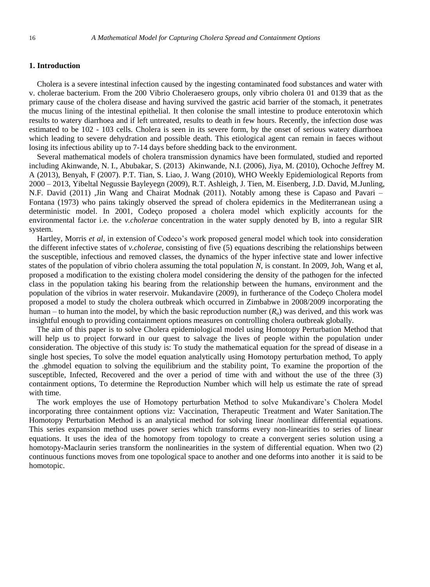## **1. Introduction**

Cholera is a severe intestinal infection caused by the ingesting contaminated food substances and water with v. cholerae bacterium. From the 200 Vibrio Choleraesero groups, only vibrio cholera 01 and 0139 that as the primary cause of the cholera disease and having survived the gastric acid barrier of the stomach, it penetrates the mucus lining of the intestinal epithelial. It then colonise the small intestine to produce enterotoxin which results to watery diarrhoea and if left untreated, results to death in few hours. Recently, the infection dose was estimated to be 102 - 103 cells. Cholera is seen in its severe form, by the onset of serious watery diarrhoea which leading to severe dehydration and possible death. This etiological agent can remain in faeces without losing its infectious ability up to 7-14 days before shedding back to the environment.

Several mathematical models of cholera transmission dynamics have been formulated, studied and reported including Akinwande, N. I., Abubakar, S. (2013) Akinwande, N.I. (2006), Jiya, M. (2010), Ochoche Jeffrey M. A (2013), Benyah, F (2007). P.T. Tian, S. Liao, J. Wang (2010), WHO Weekly Epidemiological Reports from 2000 – 2013, Yibeltal Negussie Bayleyegn (2009), R.T. Ashleigh, J. Tien, M. Eisenberg, J.D. David, M.Junling, N.F. David (2011) ,Jin Wang and Chairat Modnak (2011). Notably among these is Capaso and Pavari – Fontana (1973) who pains takingly observed the spread of cholera epidemics in the Mediterranean using a deterministic model. In 2001, Code $\infty$  proposed a cholera model which explicitly accounts for the environmental factor i.e. the *v.cholerae* concentration in the water supply denoted by B, into a regular SIR system.

Hartley, Morris *et al,* in extension of Codeco's work proposed general model which took into consideration the different infective states of *v.cholerae,* consisting of five (5) equations describing the relationships between the susceptible, infectious and removed classes, the dynamics of the hyper infective state and lower infective states of the population of vibrio cholera assuming the total population *N*, is constant. In 2009, Joh, Wang et al, proposed a modification to the existing cholera model considering the density of the pathogen for the infected class in the population taking his bearing from the relationship between the humans, environment and the population of the vibrios in water reservoir. Mukandavire  $(2009)$ , in furtherance of the Code $\infty$  Cholera model proposed a model to study the cholera outbreak which occurred in Zimbabwe in 2008/2009 incorporating the human – to human into the model, by which the basic reproduction number (*Ro*) was derived, and this work was insightful enough to providing containment options measures on controlling cholera outbreak globally.

The aim of this paper is to solve Cholera epidemiological model using Homotopy Perturbation Method that will help us to project forward in our quest to salvage the lives of people within the population under consideration. The objective of this study is: To study the mathematical equation for the spread of disease in a single host species, To solve the model equation analytically using Homotopy perturbation method, To apply the .ghmodel equation to solving the equilibrium and the stability point, To examine the proportion of the susceptible, Infected, Recovered and the over a period of time with and without the use of the three (3) containment options, To determine the Reproduction Number which will help us estimate the rate of spread with time.

The work employes the use of Homotopy perturbation Method to solve Mukandivare's Cholera Model incorporating three containment options viz: Vaccination, Therapeutic Treatment and Water Sanitation.The Homotopy Perturbation Method is an analytical method for solving linear /nonlinear differential equations. This series expansion method uses power series which transforms every non-linearities to series of linear equations. It uses the idea of the homotopy from topology to create a convergent series solution using a homotopy-Maclaurin series transform the nonlinearities in the system of differential equation. When two (2) continuous functions moves from one topological space to another and one deforms into another it is said to be homotopic.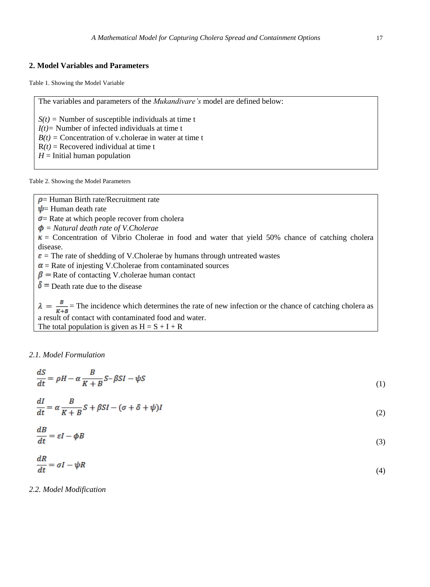## **2. Model Variables and Parameters**

Table 1. Showing the Model Variable

The variables and parameters of the *Mukandivare's* model are defined below:

 $S(t)$  = Number of susceptible individuals at time t *I(t)=* Number of infected individuals at time t  $B(t)$  = Concentration of v.cholerae in water at time t  $R(t)$  = Recovered individual at time t  $H =$ Initial human population

Table 2. Showing the Model Parameters

- $\rho$  = Human Birth rate/Recruitment rate
- $\psi$  = Human death rate

 $\sigma$  = Rate at which people recover from cholera

*= Natural death rate of V.Cholerae*

 $\kappa$  = Concentration of Vibrio Cholerae in food and water that yield 50% chance of catching cholera disease.

- $\epsilon$  = The rate of shedding of V.Cholerae by humans through untreated wastes
- $\alpha$  = Rate of injesting V.Cholerae from contaminated sources
- $\beta$  = Rate of contacting V.cholerae human contact
- $\delta$  = Death rate due to the disease

 $\lambda = \frac{B}{K+B}$  = The incidence which determines the rate of new infection or the chance of catching cholera as a result of contact with contaminated food and water. The total population is given as  $H = S + I + R$ 

## *2.1. Model Formulation*

$$
\frac{dS}{dt} = \rho H - \alpha \frac{B}{K + B} S - \beta SI - \psi S \tag{1}
$$

$$
\frac{dI}{dt} = \alpha \frac{B}{K+B} S + \beta SI - (\sigma + \delta + \psi)I
$$
\n(2)

$$
\frac{dB}{dt} = \varepsilon I - \phi B \tag{3}
$$

$$
\frac{dR}{dt} = \sigma I - \psi R \tag{4}
$$

*2.2. Model Modification*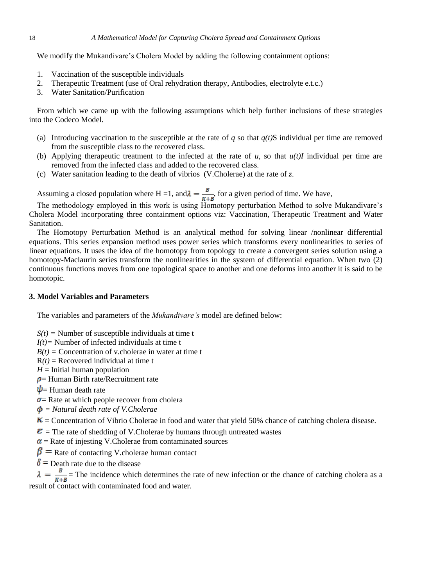We modify the Mukandivare's Cholera Model by adding the following containment options:

- 1. Vaccination of the susceptible individuals
- 2. Therapeutic Treatment (use of Oral rehydration therapy, Antibodies, electrolyte e.t.c.)
- 3. Water Sanitation/Purification

From which we came up with the following assumptions which help further inclusions of these strategies into the Codeco Model.

- (a) Introducing vaccination to the susceptible at the rate of  $q$  so that  $q(t)$ S individual per time are removed from the susceptible class to the recovered class.
- (b) Applying therapeutic treatment to the infected at the rate of  $u$ , so that  $u(t)I$  individual per time are removed from the infected class and added to the recovered class.
- (c) Water sanitation leading to the death of vibrios (V.Cholerae) at the rate of *z*.

Assuming a closed population where H =1, and  $\lambda = \frac{B}{R+B}$ , for a given period of time. We have,

The methodology employed in this work is using Homotopy perturbation Method to solve Mukandivare's Cholera Model incorporating three containment options viz: Vaccination, Therapeutic Treatment and Water Sanitation.

The Homotopy Perturbation Method is an analytical method for solving linear /nonlinear differential equations. This series expansion method uses power series which transforms every nonlinearities to series of linear equations. It uses the idea of the homotopy from topology to create a convergent series solution using a homotopy-Maclaurin series transform the nonlinearities in the system of differential equation. When two (2) continuous functions moves from one topological space to another and one deforms into another it is said to be homotopic.

# **3. Model Variables and Parameters**

The variables and parameters of the *Mukandivare's* model are defined below:

 $S(t)$  = Number of susceptible individuals at time t

*I(t)=* Number of infected individuals at time t

 $B(t)$  = Concentration of v.cholerae in water at time t

 $R(t)$  = Recovered individual at time t

 $H =$ Initial human population

 $\rho$  = Human Birth rate/Recruitment rate

 $\Psi$  = Human death rate

 $\sigma$  = Rate at which people recover from cholera

*= Natural death rate of V.Cholerae*

 $K =$  Concentration of Vibrio Cholerae in food and water that yield 50% chance of catching cholera disease.

 $\epsilon$  = The rate of shedding of V.Cholerae by humans through untreated wastes

 $\alpha$  = Rate of injesting V.Cholerae from contaminated sources

 $\beta$  = Rate of contacting V.cholerae human contact

 $\delta$  = Death rate due to the disease

 $\lambda = \frac{B}{K+B}$  The incidence which determines the rate of new infection or the chance of catching cholera as a result of contact with contaminated food and water.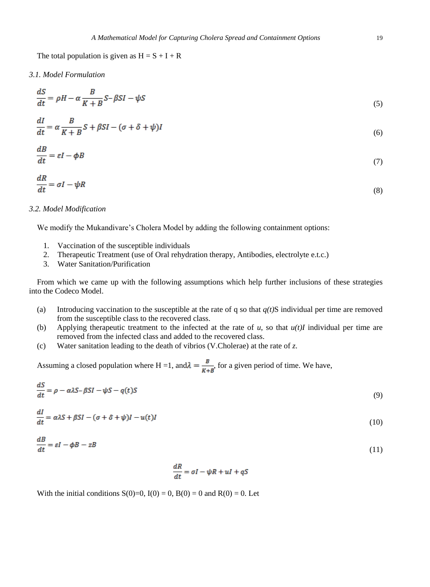The total population is given as  $H = S + I + R$ 

*3.1. Model Formulation*

 $\overline{a}$ 

 $\ddot{\phantom{a}}$ 

 $dI$ 

 $\overline{a}$ 

$$
\frac{dS}{dt} = \rho H - \alpha \frac{B}{K + B} S - \beta SI - \psi S \tag{5}
$$

$$
\frac{dI}{dt} = \alpha \frac{B}{K+B} S + \beta SI - (\sigma + \delta + \psi)I
$$
\n(6)

$$
\frac{dB}{dt} = \varepsilon I - \phi B \tag{7}
$$

$$
\frac{dR}{dt} = \sigma I - \psi R \tag{8}
$$

#### *3.2. Model Modification*

We modify the Mukandivare's Cholera Model by adding the following containment options:

- 1. Vaccination of the susceptible individuals
- 2. Therapeutic Treatment (use of Oral rehydration therapy, Antibodies, electrolyte e.t.c.)
- 3. Water Sanitation/Purification

From which we came up with the following assumptions which help further inclusions of these strategies into the Codeco Model.

- (a) Introducing vaccination to the susceptible at the rate of q so that  $q(t)$ S individual per time are removed from the susceptible class to the recovered class.
- (b) Applying therapeutic treatment to the infected at the rate of  $u$ , so that  $u(t)I$  individual per time are removed from the infected class and added to the recovered class.
- (c) Water sanitation leading to the death of vibrios (V.Cholerae) at the rate of *z*.

Assuming a closed population where H =1, and  $\lambda = \frac{B}{R+B}$ , for a given period of time. We have,

$$
\frac{dS}{dt} = \rho - \alpha \lambda S - \beta SI - \psi S - q(t)S\tag{9}
$$

$$
\frac{du}{dt} = \alpha \lambda S + \beta SI - (\sigma + \delta + \psi)I - u(t)I
$$
\n(10)

$$
\frac{dB}{dt} = \varepsilon I - \phi B - zB \tag{11}
$$

$$
\frac{dR}{dt} = \sigma I - \psi R + uI + qS
$$

With the initial conditions  $S(0)=0$ ,  $I(0)=0$ ,  $B(0)=0$  and  $R(0)=0$ . Let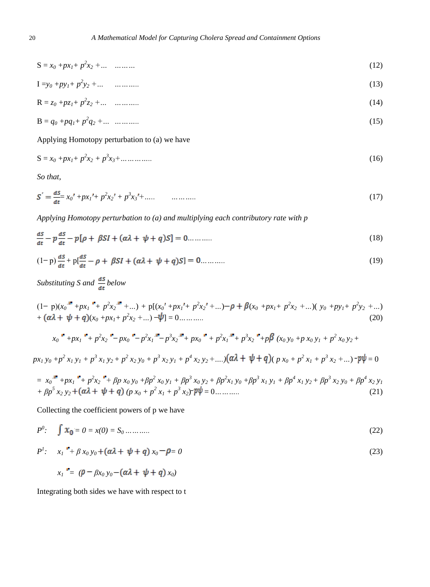$$
S = x_0 + px_1 + p^2 x_2 + \dots \quad \dots \dots \tag{12}
$$

$$
I = y_0 + py_1 + p^2 y_2 + \dots \tag{13}
$$

$$
R = z_0 + pz_1 + p^2 z_2 + \dots \quad \dots \dots \tag{14}
$$

$$
B = q_0 + pq_1 + p^2 q_2 + \dots \quad \dots \dots \tag{15}
$$

Applying Homotopy perturbation to (a) we have

$$
S = x_0 + px_1 + p^2 x_2 + p^3 x_3 + \dots \dots \dots \dots \tag{16}
$$

*So that,*

$$
S' = \frac{dS}{dt} x_0' + px_1' + p^2 x_2' + p^3 x_3' + \dots
$$
 (17)

*Applying Homotopy perturbation to (a) and multiplying each contributory rate with p*

$$
\frac{dS}{dt} - p\frac{dS}{dt} - p[\rho + \beta SI + (\alpha \lambda + \psi + q)S] = 0 \dots \dots \dots \tag{18}
$$

$$
(1-p)\frac{ds}{dt} + p\left[\frac{ds}{dt} - \rho + \beta SI + (\alpha \lambda + \psi + q)S\right] = 0 \dots \dots \dots \tag{19}
$$

*Substituting S and*  $\frac{dS}{dt}$  *below* 

$$
(1-p)(x_0^p + px_1^p + p^2x_2^p + ...) + p[(x_0^p + px_1^p + p^2x_2^p + ...) - p + \beta(x_0 + px_1 + p^2x_2 + ...)(y_0 + py_1 + p^2y_2 + ...)
$$
  
+ 
$$
(\alpha\lambda + \psi + q)(x_0 + px_1 + p^2x_2 + ...) - \psi] = 0
$$
........(20)

$$
x_0^{\bullet} + px_1^{\bullet} + p^2x_2^{\bullet} - px_0^{\bullet} - p^2x_1^{\bullet} - p^3x_2^{\bullet} + px_0^{\bullet} + p^2x_1^{\bullet} + p^3x_2^{\bullet} + p\beta (x_0y_0 + px_0y_1 + p^2x_0y_2 +
$$

 $px_1y_0+p^2x_1y_1+p^3x_1y_2+p^2x_2y_0+p^3x_2y_1+p^4x_2y_2+....$   $( \alpha \lambda + \psi + q)(p x_0 + p^2 x_1 + p^3 x_2 + ...) - p\psi = 0$ 

$$
= x_0 \stackrel{\text{w}}{+} + p x_1 \stackrel{\text{w}}{+} + p^2 x_2 \stackrel{\text{w}}{+} + \beta p x_0 y_0 + \beta p^2 x_0 y_1 + \beta p^3 x_0 y_2 + \beta p^2 x_1 y_0 + \beta p^3 x_1 y_1 + \beta p^4 x_1 y_2 + \beta p^3 x_2 y_0 + \beta p^4 x_2 y_1
$$
  
+ 
$$
\beta p^5 x_2 y_2 + (\alpha \lambda + \psi + q) (p x_0 + p^2 x_1 + p^3 x_2)^{-} p \psi = 0 \dots \dots \dots \tag{21}
$$

Collecting the coefficient powers of p we have

$$
P^0: \quad \int x_0 = 0 = x(0) = S_0 \dots \dots \dots \tag{22}
$$

$$
P': \t x_1 \xrightarrow{\mu} \beta x_0 y_0 + (\alpha \lambda + \psi + q) x_0 - \rho = 0 \t (23)
$$

$$
x_1 = (\rho - \beta x_0 y_0 - (\alpha \lambda + \psi + q) x_0)
$$

Integrating both sides we have with respect to t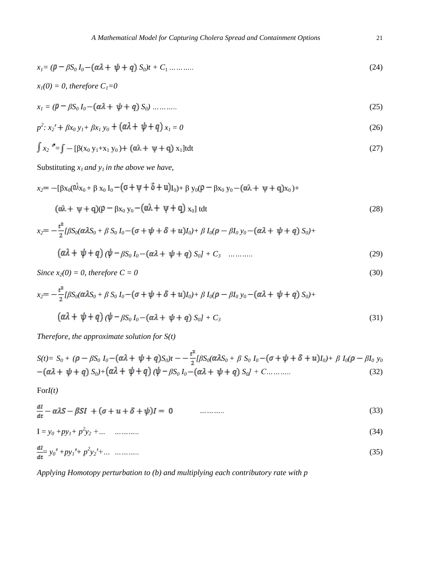$$
x_{I} = (\rho - \beta S_0 I_0 - (\alpha \lambda + \psi + q) S_0)t + C_1 \dots \dots \dots \tag{24}
$$

$$
x_1(0) = 0, \text{ therefore } C_1 = 0
$$

$$
x_1 = (\rho - \beta S_0 I_0 - (\alpha \lambda + \psi + q) S_0) \dots \dots \dots \tag{25}
$$

$$
p^{2}: x_{2} + \beta x_{0} y_{1} + \beta x_{1} y_{0} + (\alpha \lambda + \psi + q) x_{1} = 0
$$
\n(26)

$$
\int x_2 = \int -\left[\beta(x_0 \, y_1 + x_1 \, y_0) + \left(\alpha \lambda + \psi + q\right) x_1\right] t dt \tag{27}
$$

Substituting  $x_i$  *and*  $y_i$  *in the above we have,* 

$$
x_2 = -[\beta x_0(\hat{\alpha}x_0 + \beta x_0 I_0 - (\sigma + \psi + \delta + u)I_0) + \beta y_0(\rho - \beta x_0 y_0 - (\alpha \lambda + \psi + q)x_0) +
$$
  
( $\alpha \lambda + \psi + q)(\rho - \beta x_0 y_0 - (\alpha \lambda + \psi + q)x_0$ ]tdt (28)

$$
x_2 = -\frac{t^2}{2} [\beta S_0(\alpha \lambda S_0 + \beta S_0 I_0 - (\sigma + \psi + \delta + u)I_0) + \beta I_0(\rho - \beta I_0 y_0 - (\alpha \lambda + \psi + q) S_0) +
$$
  

$$
(\alpha \lambda + \psi + q) (\psi - \beta S_0 I_0 - (\alpha \lambda + \psi + q) S_0 I_1 + C_3 \quad \dots \dots \dots \tag{29}
$$

Since 
$$
x_2(0) = 0
$$
, therefore  $C = 0$  (30)

$$
x_2 = -\frac{t^2}{2} [\beta S_0 (\alpha \lambda S_0 + \beta S_0 I_0 - (\sigma + \psi + \delta + u) I_0) + \beta I_0 (\rho - \beta I_0 y_0 - (\alpha \lambda + \psi + q) S_0) +
$$
  

$$
(\alpha \lambda + \psi + q) (\psi - \beta S_0 I_0 - (\alpha \lambda + \psi + q) S_0 I_0 + C_3)
$$
 (31)

*Therefore, the approximate solution for S(t)*

$$
S(t) = S_0 + (\rho - \beta S_0 I_0 - (\alpha \lambda + \psi + q) S_0)t - \frac{t^2}{2} [\beta S_0 (\alpha \lambda S_0 + \beta S_0 I_0 - (\sigma + \psi + \delta + u) I_0) + \beta I_0 (\rho - \beta I_0 y_0 - (\alpha \lambda + \psi + q) S_0] + (\alpha \lambda + \psi + q) (\psi - \beta S_0 I_0 - (\alpha \lambda + \psi + q) S_0] + C \dots \dots \dots \dots \tag{32}
$$

For*I(t)*

$$
\frac{dl}{dt} - \alpha\lambda S - \beta SI + (\sigma + u + \delta + \psi)I = 0 \tag{33}
$$

$$
I = y_0 + py_1 + p^2 y_2 + \dots \quad \dots \dots \tag{34}
$$

$$
\frac{dI}{dt} = y_0' + py_1' + p^2 y_2' + \dots \quad \dots \dots \tag{35}
$$

*Applying Homotopy perturbation to (b) and multiplying each contributory rate with p*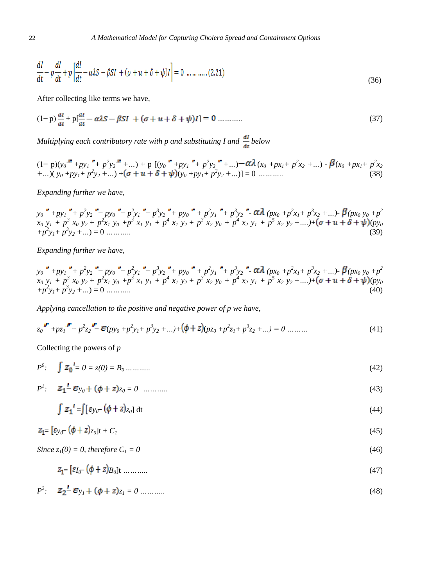$$
\frac{dI}{dt} - p\frac{dI}{dt} + p\left[\frac{dI}{dt} - \alpha\lambda S - \beta SI + (\sigma + u + \delta + \psi)I\right] = 0 \dots \dots \dots \dots (2.21)
$$
\n(36)

After collecting like terms we have,

$$
(1-p)\frac{dl}{dt} + p\left[\frac{dl}{dt} - \alpha\lambda S - \beta SI + (\sigma + u + \delta + \psi)I\right] = 0 \dots \dots \dots \tag{37}
$$

*Multiplying each contributory rate with p and substituting I and*  $\frac{dI}{dt}$  *below* 

$$
(1-p)(y_0^* + py_1^* + p^2y_2^* + ...) + p [(y_0^* + py_1^* + p^2y_2^* + ...) - \alpha \lambda (x_0 + px_1 + p^2x_2 + ...) - \beta (x_0 + px_1 + p^2x_2 + ...)(y_0 + py_1 + p^2y_2 + ...) + \alpha \lambda (x_0 + px_1 + p^2x_2 + ...)
$$
\n(38)

*Expanding further we have,* 

 $y_0$  +  $py_1$  +  $p^2y_2$  +  $py_0$  +  $p^2y_1$  +  $p^3y_2$  +  $py_0$  +  $p^2y_1$  +  $p^3y_2$  +  $\alpha\lambda$  ( $px_0 + p^2x_1 + p^3x_2 + ...$ )  $\beta(px_0y_0 + p^2)$  $x_0 y_1 + p^3 x_0 y_2 + p^2 x_1 y_0 + p^3 x_1 y_1 + p^4 x_1 y_2 + p^3 x_2 y_0 + p^4 x_2 y_1 + p^5 x_2 y_2 + \dots) + (\sigma + u + \delta + \psi)(p y_0)$ *+p<sup>2</sup> y1+ p<sup>3</sup> y<sup>2</sup> +…*) = 0 *………..* (39)

*Expanding further we have,*

$$
y_0^* + py_1^* + p^2 y_2^* - py_0^* - p^2 y_1^* - p^3 y_2^* + py_0^* + p^2 y_1^* + p^3 y_2^* - \alpha \lambda (px_0 + p^2 x_1 + p^3 x_2 + ...) - \beta (px_0 y_0 + p^2 x_0 y_1 + p^3 x_0 y_2 + p^2 x_1 y_0 + p^3 x_1 y_1 + p^4 x_1 y_2 + p^3 x_2 y_0 + p^4 x_2 y_1 + p^5 x_2 y_2 + ...) + (\sigma + u + \delta + \psi)(py_0 + p^2 y_1 + p^3 y_2 + ...) = 0
$$
 (40)

*Applying cancellation to the positive and negative power of p we have,*

$$
z_0^{\mathsf{F}} + p z_1^{\mathsf{F}} + p^2 z_2^{\mathsf{F}} - \mathcal{E}(p y_0 + p^2 y_1 + p^3 y_2 + \ldots) + (\phi + z)(p z_0 + p^2 z_1 + p^3 z_2 + \ldots) = 0 \ldots \ldots \tag{41}
$$

Collecting the powers of *p*

$$
P^{0}: \quad \int Z_{0}^{1} = 0 = z(0) = B_{0} \dots \dots \dots \tag{42}
$$

 $P^1$ :  $Z_1^2$   $\mathcal{E}y_0 + (\phi + z)z_0 = 0$  *………..* (43)

$$
\int z_1' = \int [\varepsilon_{y_0} (\phi + z)_{z_0}] dt
$$
\n(44)

$$
x = \lambda_1 x + \lambda_2 x + \lambda_3 x + \lambda_4 x + \lambda_5 x + \lambda_6 x + \lambda_7 x + \lambda_8 x + \lambda_9 x + \lambda_1 x + \lambda_2 x + \lambda_3 x + \lambda_4 x + \lambda_7 x + \lambda_8 x + \lambda_9 x + \lambda_1 x + \lambda_2 x + \lambda_3 x + \lambda_4 x + \lambda_5 x + \lambda_7 x + \lambda_8 x + \lambda_9 x + \lambda_1 x + \lambda_1 x + \lambda_2 x + \lambda_3 x + \lambda_4 x + \lambda_5 x + \lambda_6 x + \lambda_7 x + \lambda_8 x + \lambda_9 x + \lambda_1 x + \lambda_1 x + \lambda_2 x + \lambda_3 x + \lambda_4 x + \lambda_5 x + \lambda_6 x + \lambda_7 x + \lambda_8 x + \lambda_9 x + \lambda_1 x + \lambda_1 x + \lambda_2 x + \lambda_3 x + \lambda_4 x + \lambda_5 x + \lambda_6 x + \lambda_7 x + \lambda_8 x + \lambda_9 x + \lambda_1 x + \lambda_1 x + \lambda_2 x + \lambda_3 x + \lambda_4 x + \lambda_5 x + \lambda_6 x + \lambda_7 x + \lambda_7 x + \lambda_8 x + \lambda_9 x + \lambda_9 x + \lambda_1 x + \lambda_1 x + \lambda_2 x + \lambda_3 x + \lambda_4 x + \lambda_5 x + \lambda_6 x + \lambda_7 x + \lambda_7 x + \lambda_8 x + \lambda_9 x + \lambda_9 x + \lambda_9 x + \lambda_1 x + \lambda_1 x + \lambda_1 x + \lambda_1 x + \lambda_2 x + \lambda_3 x + \lambda_4 x + \lambda_5 x + \lambda_6 x + \lambda_7 x + \lambda_7 x + \lambda_8 x + \lambda_9 x + \lambda_9 x + \lambda_9 x + \lambda_1 x + \lambda_1 x + \lambda_1 x + \lambda_2 x + \lambda_3 x + \lambda_3 x + \lambda_1 x + \lambda_1 x + \lambda_2 x + \lambda_3 x + \lambda_3 x + \lambda_4 x + \lambda_3 x + \lambda_4 x + \lambda_5 x + \lambda_6 x + \lambda_7 x + \lambda_7 x + \lambda_7 x + \lambda_8 x + \lambda_7 x + \lambda_7 x + \lambda_8 x + \lambda_9 x + \lambda_9 x + \lambda_9 x + \lambda_9 x + \lambda_9 x + \lambda_9 x + \lambda_9 x + \lambda_9 x + \lambda_9 x + \
$$

$$
Z_1 = \left[\varepsilon_{y_0} - (\phi + z)_{z_0}\right]t + C_1\tag{45}
$$

Since 
$$
z_l(0) = 0
$$
, therefore  $C_l = 0$  (46)

$$
z_{1} = \left[\varepsilon_{I} - (\phi + z)B_{0}\right] \tag{47}
$$

$$
P^2: \quad Z_2^{\prime} - \mathcal{E}_{Y_i} + (\phi + z)_{Z_i} = 0 \dots \dots \dots \tag{48}
$$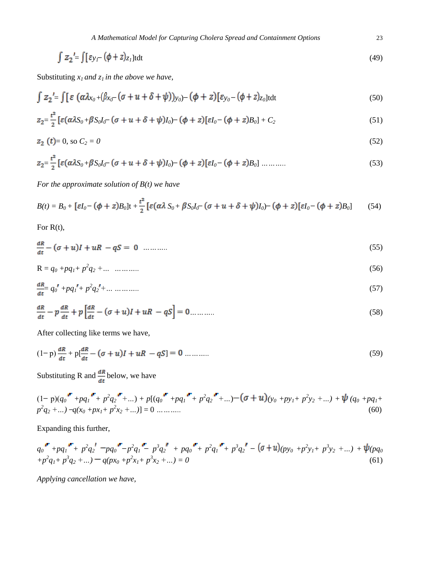$$
\int z_2' = \int [\varepsilon y_f - (\phi + z)z_l] t dt
$$
\n(49)

Substituting  $x_1$  *and*  $z_1$  *in the above we have,* 

$$
\int z_2 = \int [\varepsilon (\alpha \lambda x_0 + (\beta x_0 - (\sigma + u + \delta + \psi)) y_0) - (\phi + z) [\varepsilon y_0 - (\phi + z) z_0] dt
$$
\n(50)

$$
z_2 = \frac{t^2}{2} \left[ \varepsilon (\alpha \lambda S_0 + \beta S_0 I_0 - (\sigma + u + \delta + \psi) I_0) - (\phi + z) [\varepsilon I_0 - (\phi + z) B_0] + C_2 \right]
$$
(51)

$$
z_2(t) = 0, \text{ so } C_2 = 0 \tag{52}
$$

$$
z_{2} = \frac{t^{2}}{2} \left[ \varepsilon (\alpha \lambda S_{0} + \beta S_{0} I_{0} - (\sigma + u + \delta + \psi) I_{0}) - (\phi + z) [\varepsilon I_{0} - (\phi + z) B_{0}] \dots \dots \dots \right]
$$
(53)

*For the approximate solution of B(t) we have*

$$
B(t) = B_0 + \left[\varepsilon I_0 - (\phi + z)B_0\right]t + \frac{t^2}{2}\left[\varepsilon(\alpha\lambda S_0 + \beta S_0I_0 - (\sigma + u + \delta + \psi)I_0) - (\phi + z)\left[\varepsilon I_0 - (\phi + z)B_0\right]\right]
$$
(54)

For R(t),

$$
\frac{dR}{dt} - (\sigma + u)I + uR - qS = 0 \quad \dots \dots \dots \tag{55}
$$

$$
R = q_0 + pq_1 + p^2 q_2 + \dots \quad \dots \dots \tag{56}
$$

$$
\frac{dR}{dt} = q_0' + pq_1' + p^2 q_2' + \dots \dots \dots \dots \tag{57}
$$

$$
\frac{dR}{dt} - p\frac{dR}{dt} + p\left[\frac{dR}{dt} - (\sigma + u)I + uR - qS\right] = 0 \dots \dots \dots \tag{58}
$$

After collecting like terms we have,

$$
(1-p)\frac{dR}{dt} + p\left[\frac{dR}{dt} - (\sigma + u)I + uR - qS\right] = 0 \dots \dots \dots \tag{59}
$$

Substituting R and  $\frac{dR}{dt}$  below, we have

$$
(1-p)(q_0^{\mathbf{F}} + pq_1^{\mathbf{F}} + p^2q_2^{\mathbf{F}} + \dots) + p[(q_0^{\mathbf{F}} + pq_1^{\mathbf{F}} + p^2q_2^{\mathbf{F}} + \dots) - (\sigma + u)_{(y_0 + py_1 + p^2y_2 + \dots)} + \psi (q_0 + pq_1 + p^2q_2 + \dots) - q(x_0 + px_1 + p^2x_2 + \dots)] = 0 \dots \dots \dots \tag{60}
$$

Expanding this further,

$$
q_0^{\mathbf{F}} + p q_1^{\mathbf{F}} + p^2 q_2^{\mathbf{F}} - p q_0^{\mathbf{F}} - p^2 q_1^{\mathbf{F}} - p^3 q_2^{\mathbf{F}} + p q_0^{\mathbf{F}} + p^2 q_1^{\mathbf{F}} + p^3 q_2^{\mathbf{F}} - (\sigma + u)(p y_0 + p^2 y_1 + p^3 y_2 + ...) + \psi(p q_0 + p^2 q_1 + p^3 q_2 + ...) - q (p x_0 + p^2 x_1 + p^3 x_2 + ...) = 0
$$
\n(61)

*Applying cancellation we have,*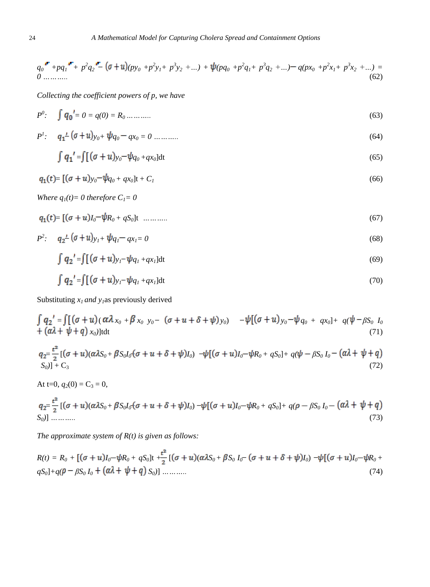$$
q_0 \stackrel{\bullet}{\longrightarrow} + p q_1 \stackrel{\bullet}{\longrightarrow} p^2 q_2 \stackrel{\bullet}{\longrightarrow} (\sigma + u) (p y_0 + p^2 y_1 + p^3 y_2 + ...) + \psi (p q_0 + p^2 q_1 + p^3 q_2 + ...) - q (p x_0 + p^2 x_1 + p^3 x_2 + ...) =
$$
  
(62)

*Collecting the coefficient powers of p, we have*

$$
P^0: \quad \int q_0' = 0 = q(0) = R_0 \dots \dots \dots \tag{63}
$$

$$
P': \quad q_1^{\perp} (\sigma + u)_{y_0 +} \psi_{q_0 - q x_0 = 0 \dots \dots \dots \dots} \tag{64}
$$

$$
\int q_1' = \int \left[ (\sigma + u)_{y_0} - \psi_{q_0 + qx_0} \right] dt \tag{65}
$$

$$
q_1(t) = [(\sigma + u)_{y_0} - \psi_{q_0 + qx_0}]t + C_I
$$
\n(66)

*Where*  $q_1(t) = 0$  *therefore*  $C_1 = 0$ 

$$
q_1(t) = \left[ (\sigma + u)I_0 - \psi R_0 + qS_0 \right] t \quad \dots \quad \dots \tag{67}
$$

$$
P^2: \quad q_2{}^{\perp} (\sigma + u)_{y_1} + \psi_{q_1} - q_{x_1} = 0 \tag{68}
$$

$$
\int q_2' = \int \left[ (\sigma + u)_{y_1} - \psi q_1 + q x_1 \right] dt \tag{69}
$$

$$
\int q_2' = \int [(\sigma + u)_{y_1} - \psi_{q_1 + q x_1}] dt \tag{70}
$$

Substituting  $x_1$  *and y<sub>1</sub>*as previously derived

$$
\int q_2' = \int [(\sigma + u)(\alpha \lambda_{x_0} + \beta_{x_0} y_0 - (\sigma + u + \delta + \psi) y_0) - \psi [(\sigma + u) y_0 - \psi_{q_0} + q x_0] + q(\psi - \beta S_0 I_0 + \alpha \lambda + \psi + q) x_0] dt
$$
\n(71)

$$
q_2 = \frac{t^2}{2} [(\sigma + u)(\alpha \lambda S_0 + \beta S_0 I_0 (\sigma + u + \delta + \psi) I_0) - \psi [(\sigma + u)I_0 - \psi R_0 + qS_0] + q(\psi - \beta S_0 I_0 - (\alpha \lambda + \psi + q) S_0)] + C_3
$$
\n(72)

At t=0,  $q_2(0) = C_3 = 0$ ,

$$
q_2 = \frac{t^2}{2} [(\sigma + u)(\alpha \lambda S_0 + \beta S_0 I_0 (\sigma + u + \delta + \psi) I_0) - \psi [(\sigma + u)I_0 - \psi R_0 + qS_0] + q(\rho - \beta S_0 I_0 - (\alpha \lambda + \psi + q) I_0] - \psi I_0 (\sigma + u) I_0 - \psi I_0 (\sigma + u) I_0
$$
\n(73)

*The approximate system of R(t) is given as follows:*

$$
R(t) = R_0 + [(\sigma + u)I_0 - \psi R_0 + qS_0]t + \frac{t^2}{2} [(\sigma + u)(\alpha \lambda S_0 + \beta S_0 I_0 - (\sigma + u + \delta + \psi)I_0) - \psi[(\sigma + u)I_0 - \psi R_0 + qS_0] + q(\rho - \beta S_0 I_0 + (\alpha \lambda + \psi + q) S_0)]
$$
\n(74)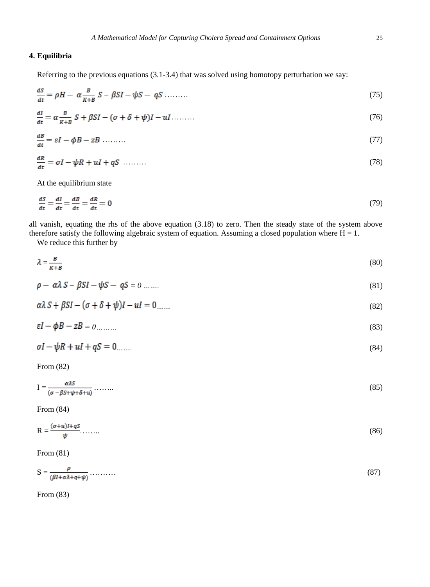# **4. Equilibria**

Referring to the previous equations (3.1-3.4) that was solved using homotopy perturbation we say:

$$
\frac{dS}{dt} = \rho H - \alpha \frac{B}{K+B} S - \beta SI - \psi S - qS \dots \dots \tag{75}
$$

$$
\frac{dl}{dt} = \alpha \frac{B}{K+B} S + \beta SI - (\sigma + \delta + \psi)I - ul \dots \tag{76}
$$

$$
\frac{dB}{dt} = \varepsilon I - \phi B - zB \tag{77}
$$

$$
\frac{dR}{dt} = \sigma I - \psi R + uI + qS \quad \dots \tag{78}
$$

At the equilibrium state

$$
\frac{dS}{dt} = \frac{dI}{dt} = \frac{dB}{dt} = \frac{dR}{dt} = 0\tag{79}
$$

all vanish, equating the rhs of the above equation (3.18) to zero. Then the steady state of the system above therefore satisfy the following algebraic system of equation. Assuming a closed population where  $H = 1$ .

We reduce this further by

$$
\lambda = \frac{B}{K+B} \tag{80}
$$

$$
\rho - \alpha \lambda S - \beta SI - \psi S - qS = 0 \dots \dots \tag{81}
$$

$$
\alpha\lambda S + \beta SI - (\sigma + \delta + \psi)I - uI = 0 \dots \tag{82}
$$

$$
\varepsilon I - \phi B - zB = 0 \tag{83}
$$

$$
\sigma I - \psi R + uI + qS = 0 \tag{84}
$$

From (82)

$$
I = \frac{\alpha \lambda S}{(\sigma - \beta S + \psi + \delta + u)} \dots \dots \tag{85}
$$

From (84)

$$
R = \frac{(\sigma + u)I + qS}{\psi} \tag{86}
$$

From (81)

$$
S = \frac{\rho}{(\beta I + \alpha \lambda + q + \psi)} \dots \dots \tag{87}
$$

From (83)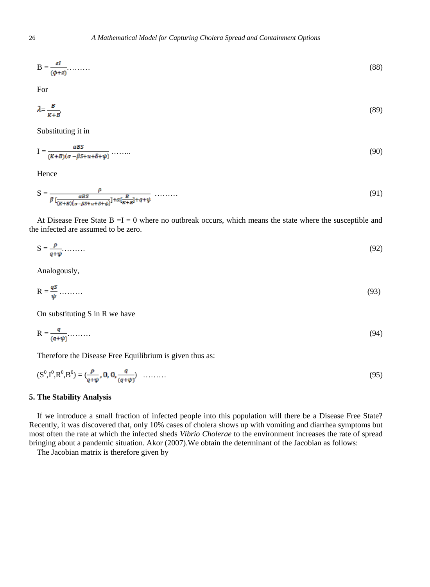$$
B = \frac{\varepsilon I}{(\phi + z)} \tag{88}
$$

For

$$
\lambda = \frac{B}{K+B},\tag{89}
$$

Substituting it in

$$
I = \frac{\alpha B S}{(K+B)(\sigma - \beta S + u + \delta + \psi)} \dots \dots \tag{90}
$$

Hence

$$
S = \frac{\rho}{\beta \left[ \frac{\alpha BS}{(K+B)(\sigma - \beta S + u + \delta + \psi)} \right] + \alpha \left[ \frac{B}{K+B} \right] + q + \psi} \quad \dots \tag{91}
$$

At Disease Free State  $B = I = 0$  where no outbreak occurs, which means the state where the susceptible and the infected are assumed to be zero.

$$
S = \frac{\rho}{q + \psi} \tag{92}
$$

Analogously,

$$
R = \frac{qS}{\psi} \dots \dots \tag{93}
$$

On substituting S in R we have

$$
R = \frac{q}{(q+\psi)}.\tag{94}
$$

Therefore the Disease Free Equilibrium is given thus as:

$$
(S^0, I^0, R^0, B^0) = \left(\frac{\rho}{q + \psi}, 0, 0, \frac{q}{(q + \psi)}\right) \quad \dots \dots \tag{95}
$$

## **5. The Stability Analysis**

If we introduce a small fraction of infected people into this population will there be a Disease Free State? Recently, it was discovered that, only 10% cases of cholera shows up with vomiting and diarrhea symptoms but most often the rate at which the infected sheds *Vibrio Cholerae* to the environment increases the rate of spread bringing about a pandemic situation. Akor (2007).We obtain the determinant of the Jacobian as follows:

The Jacobian matrix is therefore given by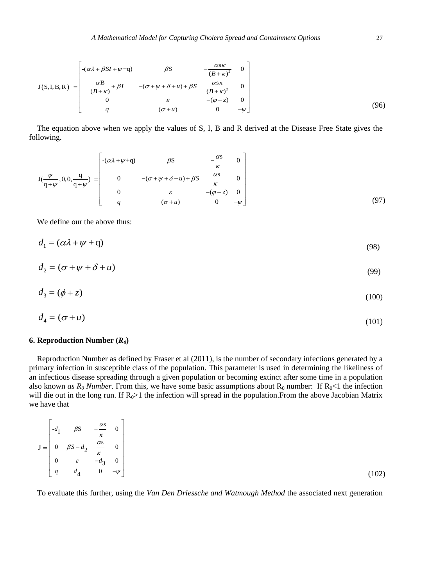A Mathematical Model for Capturing Cholera Spread and Containment Options  
\n
$$
J(S,I,B,R) = \begin{bmatrix}\n-(\alpha\lambda + \beta SI + \psi + q) & \beta S & -\frac{\alpha S K}{(B + \kappa)^2} & 0 \\
\frac{\alpha B}{(B + \kappa)} + \beta I & -(\sigma + \psi + \delta + u) + \beta S & \frac{\alpha S K}{(B + \kappa)^2} & 0 \\
0 & \varepsilon & -(\varphi + z) & 0 \\
q & (\sigma + u) & 0 & -\psi\n\end{bmatrix}
$$
\n(96)

The equation above when we apply the values of S, I, B and R derived at the Disease Free State gives the following.

However, the equation does not have a right-hand side, we have 
$$
x = 0
$$
 and  $x = 1$  and  $x = 0$  and  $x = 1$  and  $x = 0$  and  $x = 1$  and  $x = 1$  and  $x = 1$  and  $x = 1$  and  $x = 1$  and  $x = 1$  and  $x = 1$  and  $x = 1$  and  $x = 1$  and  $x = 1$  and  $x = 1$  and  $x = 1$  and  $x = 1$  and  $x = 1$  and  $x = 1$  and  $x = 1$  and  $x = 1$  and  $x = 1$  and  $x = 1$  and  $x = 1$  and  $x = 1$  and  $x = 1$  and  $x = 1$  and  $x = 1$  and  $x = 1$  and  $x = 1$  and  $x = 1$  and  $x = 1$  and  $x = 1$  and  $x = 1$  and  $x = 1$  and  $x = 1$  and  $x = 1$  and  $x = 1$  and  $x = 1$  and  $x = 1$  and  $x = 1$  and  $x = 1$  and  $x = 1$  and  $x = 1$  and  $x = 1$  and  $x = 1$  and  $x = 1$  and  $x = 1$  and  $x = 1$  and  $x = 1$  and  $x = 1$  and  $x = 1$  and  $x$ 

We define our the above thus:

$$
d_1 = (\alpha \lambda + \psi + q) \tag{98}
$$

$$
d_2 = (\sigma + \psi + \delta + u) \tag{99}
$$

$$
d_3 = (\phi + z) \tag{100}
$$

$$
d_4 = (\sigma + u) \tag{101}
$$

#### **6. Reproduction Number**  $(R_0)$

Reproduction Number as defined by Fraser et al (2011), is the number of secondary infections generated by a primary infection in susceptible class of the population. This parameter is used in determining the likeliness of an infectious disease spreading through a given population or becoming extinct after some time in a population also known *as R<sub>0</sub> Number*. From this, we have some basic assumptions about R<sub>0</sub> number: If R<sub>0</sub><1 the infection will die out in the long run. If  $R_0$ >1 the infection will spread in the population. From the above Jacobian Matrix we have that

$$
\mathbf{J} = \begin{bmatrix} -d_1 & \beta S & -\frac{\alpha S}{\kappa} & 0 \\ 0 & \beta S - d_2 & \frac{\alpha S}{\kappa} & 0 \\ 0 & \varepsilon & -d_3 & 0 \\ q & d_4 & 0 & -\psi \end{bmatrix}
$$
(102)

To evaluate this further, using the *Van Den Driessche and Watmough Method* the associated next generation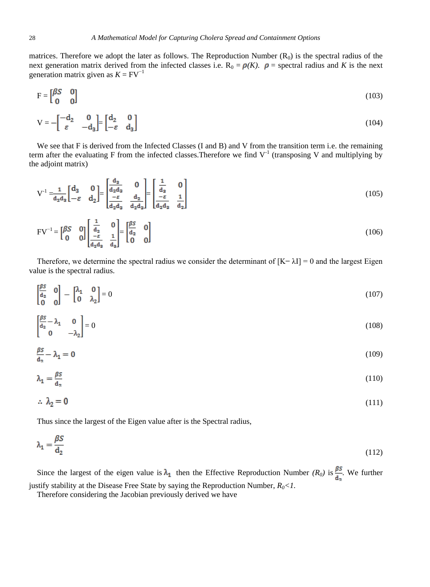matrices. Therefore we adopt the later as follows. The Reproduction Number  $(R_0)$  is the spectral radius of the next generation matrix derived from the infected classes i.e.  $R_0 = \rho(K)$ .  $\rho$  = spectral radius and *K* is the next generation matrix given as  $K = FV^{-1}$ 

$$
\mathbf{F} = \begin{bmatrix} \beta S & 0 \\ 0 & 0 \end{bmatrix} \tag{103}
$$

$$
V = -\begin{bmatrix} -d_2 & 0 \\ \varepsilon & -d_3 \end{bmatrix} = \begin{bmatrix} d_2 & 0 \\ -\varepsilon & d_3 \end{bmatrix}
$$
 (104)

We see that F is derived from the Infected Classes (I and B) and V from the transition term i.e. the remaining term after the evaluating F from the infected classes. Therefore we find  $V<sup>-1</sup>$  (transposing V and multiplying by the adjoint matrix)

$$
V^{-1} = \frac{1}{d_2 d_3} \begin{bmatrix} d_3 & 0 \\ -\varepsilon & d_2 \end{bmatrix} = \begin{bmatrix} \frac{d_3}{d_2 d_3} & 0 \\ \frac{-\varepsilon}{d_2 d_3} & \frac{d_2}{d_2 d_3} \end{bmatrix} = \begin{bmatrix} \frac{1}{d_3} & 0 \\ \frac{-\varepsilon}{d_3 d_3} & \frac{1}{d_2} \end{bmatrix}
$$
(105)

$$
FV^{-1} = \begin{bmatrix} \beta S & 0 \\ 0 & 0 \end{bmatrix} \begin{bmatrix} \frac{1}{d_2} & 0 \\ \frac{-\varepsilon}{d_2 d_3} & \frac{1}{d_3} \end{bmatrix} = \begin{bmatrix} \frac{\beta S}{d_2} & 0 \\ 0 & 0 \end{bmatrix}
$$
(106)

Therefore, we determine the spectral radius we consider the determinant of  $[K - \lambda I] = 0$  and the largest Eigen value is the spectral radius.

$$
\begin{bmatrix} \frac{\beta S}{\mathbf{d}_2} & \mathbf{0} \\ \mathbf{0} & \mathbf{0} \end{bmatrix} - \begin{bmatrix} \lambda_1 & \mathbf{0} \\ \mathbf{0} & \lambda_2 \end{bmatrix} = 0 \tag{107}
$$

$$
\begin{bmatrix} \frac{\beta S}{\mathsf{d}_2} - \lambda_1 & 0 \\ 0 & -\lambda_2 \end{bmatrix} = 0 \tag{108}
$$

$$
\frac{\beta S}{d_2} - \lambda_1 = 0 \tag{109}
$$

$$
\lambda_1 = \frac{\beta S}{d_2} \tag{110}
$$

$$
\therefore \lambda_2 = 0 \tag{111}
$$

Thus since the largest of the Eigen value after is the Spectral radius,

$$
\lambda_1 = \frac{\beta S}{\mathbf{d}_2} \tag{112}
$$

Since the largest of the eigen value is  $\lambda_1$  then the Effective Reproduction Number *(R<sub>0</sub>)* is  $\frac{\beta S}{d_1}$ . We further justify stability at the Disease Free State by saying the Reproduction Number, *R0<1.*

Therefore considering the Jacobian previously derived we have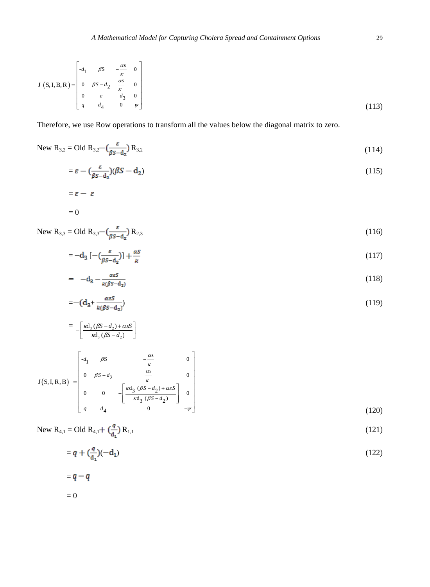$$
J(S,I,B,R) = \begin{bmatrix} -d_1 & \beta S & -\frac{\alpha S}{\kappa} & 0\\ 0 & \beta S - d_2 & \frac{\alpha S}{\kappa} & 0\\ 0 & \varepsilon & -d_3 & 0\\ q & d_4 & 0 & -\psi \end{bmatrix}
$$
(113)

Therefore, we use Row operations to transform all the values below the diagonal matrix to zero.

New R<sub>3,2</sub> = Old R<sub>3,2</sub> - 
$$
\left(\frac{\varepsilon}{\beta S - d_2}\right)
$$
 R<sub>3,2</sub> (114)

$$
= \varepsilon - \left(\frac{\varepsilon}{\beta S - d_2}\right) (\beta S - d_2) \tag{115}
$$

$$
\varepsilon - \varepsilon
$$

$$
= 0
$$

=

New R<sub>3,3</sub> = Old R<sub>3,3</sub> – 
$$
\left(\frac{\varepsilon}{\beta S - d_2}\right)
$$
 R<sub>2,3</sub> (116)

$$
=-\mathbf{d}_3\left[-\left(\frac{\varepsilon}{\beta S-\mathbf{d}_2}\right)\right]+\frac{\alpha S}{k}\tag{117}
$$

$$
= -d_3 - \frac{\alpha \varepsilon S}{k(\beta S - d_2)} \tag{118}
$$

$$
=-(d_3+\frac{\alpha\varepsilon S}{k(\beta S-d_2)})\tag{119}
$$

$$
= -\left[\frac{\kappa d_3 (\beta S - d_2) + \alpha \varepsilon S}{\kappa d_3 (\beta S - d_2)}\right]
$$
  

$$
\left[\begin{array}{cc} -d_1 & \beta S & -\frac{\alpha S}{\alpha} & 0 \end{array}\right]
$$

$$
J(S,I,R,B) = \begin{bmatrix} -d_1 & \beta S & -\frac{\alpha S}{\kappa} & 0\\ 0 & \beta S - d_2 & \frac{\alpha S}{\kappa} & 0\\ 0 & 0 & -\left[\frac{\kappa d_3 (\beta S - d_2) + \alpha \varepsilon S}{\kappa d_3 (\beta S - d_2)}\right] & 0\\ q & d_4 & 0 & -\psi \end{bmatrix}
$$
(120)

$$
\begin{bmatrix} 1 & 0 \\ 0 & 0 \end{bmatrix}
$$

New R<sub>4,1</sub> = Old R<sub>4,1</sub> + 
$$
\left(\frac{q}{d_1}\right) R_{1,1}
$$
 (121)

$$
= q + \left(\frac{q}{d_1}\right)(-d_1) \tag{122}
$$

$$
= q - q
$$

$$
= 0
$$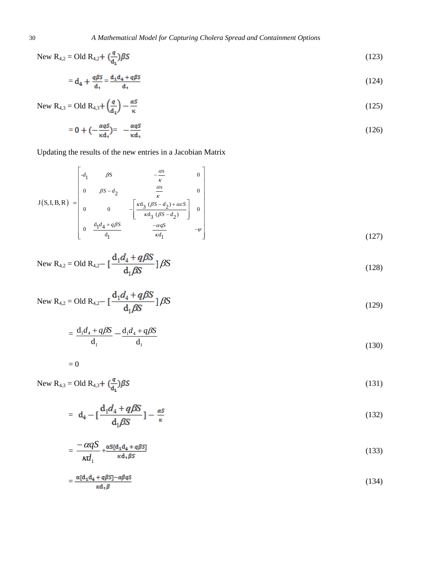New R<sub>4,2</sub> = Old R<sub>4,2</sub> + 
$$
\left(\frac{q}{d_1}\right) \beta S
$$
 (123)

$$
= d_4 + \frac{q\beta S}{d_1} = \frac{d_1 d_4 + q\beta S}{d_1} \tag{124}
$$

$$
\text{New R}_{4,3} = \text{Old R}_{4,3} + \left(\frac{q}{d_1}\right) - \frac{\alpha S}{\kappa} \tag{125}
$$

$$
= 0 + \left(-\frac{\alpha qS}{\kappa d_1}\right) = -\frac{\alpha qS}{\kappa d_1} \tag{126}
$$

Upddting the results of the new entries in a Jacobian Matrix

\n
$$
J(S,I,B,R) = \begin{bmatrix}\n-d_1 & \beta S & -\frac{as}{\kappa} & 0 \\
0 & \beta S - d_2 & \frac{as}{\kappa} & 0 \\
0 & 0 & -\left[\frac{\kappa d_3 \ (\beta S - d_2) + \alpha \varepsilon S}{\kappa d_3 \ (\beta S - d_2)}\right] & 0 \\
0 & \frac{d_1 d_4 + q \beta S}{d_1} & \frac{-\alpha q S}{\kappa d_1} & -\psi\n\end{bmatrix}
$$
\n(127)

New R<sub>4,2</sub> = Old R<sub>4,2</sub> - 
$$
\left[\frac{d_1 d_4 + q\beta S}{d_1 \beta S}\right] \beta S
$$
 (128)

New R<sub>4,2</sub> = Old R<sub>4,2</sub> - 
$$
\left[\frac{d_1 d_4 + q\beta S}{d_1 \beta S}\right] \beta S
$$
 (129)

$$
=\frac{\mathrm{d}_1 d_4 + q\beta S}{\mathrm{d}_1} - \frac{\mathrm{d}_1 d_4 + q\beta S}{\mathrm{d}_1} \tag{130}
$$

$$
= 0
$$

New R<sub>4,3</sub> = Old R<sub>4,3</sub> +  $\left(\frac{q}{d_1}\right)$   $\beta S$  (131)

$$
= d_4 - \left[\frac{d_1 d_4 + q\beta S}{d_1 \beta S}\right] - \frac{\alpha S}{\kappa} \tag{132}
$$

$$
=\frac{-\alpha qS}{\kappa d_1}+\frac{\alpha S[d_1d_4+q\beta S]}{\kappa d_1\beta S}
$$
\n(133)

$$
=\frac{\alpha[d_1d_4+q\beta S]-\alpha\beta qS}{\kappa d_1\beta} \tag{134}
$$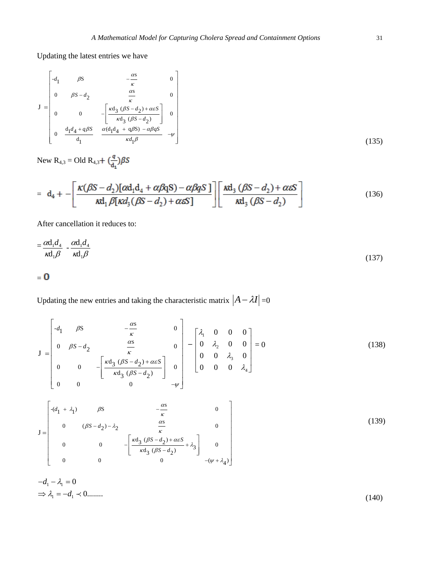Updating the latest entries we have

$$
\mathbf{J} = \begin{bmatrix} -d_1 & \beta S & -\frac{\alpha S}{\kappa} & 0\\ 0 & \beta S - d_2 & \frac{\alpha S}{\kappa} & 0\\ 0 & 0 & -\left[\frac{\kappa d_3 (\beta S - d_2) + \alpha \varepsilon S}{\kappa d_3 (\beta S - d_2)}\right] & 0\\ 0 & \frac{d_1 d_4 + q \beta S}{d_1} & \frac{\alpha (d_1 d_4 + q \beta S) - \alpha \beta q S}{\kappa d_1 \beta} & -\psi \end{bmatrix}
$$
(135)

New  $R_{4,3} = Old R_{4,3} + \left(\frac{q}{d_1}\right) \beta S$ 

$$
= d_4 + -\left[\frac{\kappa(\beta S - d_2)[\alpha d_1 d_4 + \alpha \beta q S) - \alpha \beta q S}{\kappa d_1 \beta [\kappa d_3(\beta S - d_2) + \alpha \varepsilon S]}\right] \left[\frac{\kappa d_3(\beta S - d_2) + \alpha \varepsilon S}{\kappa d_3(\beta S - d_2)}\right]
$$
(136)

After cancellation it reduces to:

$$
=\frac{\alpha d_1 d_4}{\kappa d_1 \beta} - \frac{\alpha d_1 d_4}{\kappa d_1 \beta} \tag{137}
$$

$$
= 0
$$

Updating the new entries and taking the characteristic matrix  $\left|A - \lambda I\right| = 0$ 

$$
\mathbf{J} = \begin{bmatrix} -d_1 & \beta S & -\frac{\alpha S}{\kappa} & 0 \\ 0 & \beta S - d_2 & \frac{\alpha S}{\kappa} & 0 \\ 0 & 0 & -\left[\frac{\kappa d_3 (\beta S - d_2) + \alpha \varepsilon S}{\kappa d_3 (\beta S - d_2)}\right] & 0 \\ 0 & 0 & 0 & -\psi \end{bmatrix} - \begin{bmatrix} \lambda_1 & 0 & 0 & 0 \\ 0 & \lambda_2 & 0 & 0 \\ 0 & 0 & \lambda_3 & 0 \\ 0 & 0 & 0 & \lambda_4 \end{bmatrix} = 0
$$
(138)

$$
\mathbf{J} = \begin{bmatrix}\n-(d_1 + \lambda_1) & \beta S & -\frac{\alpha S}{\kappa} & 0 \\
0 & (\beta S - d_2) - \lambda_2 & \frac{\alpha S}{\kappa} & 0 \\
0 & 0 & -\left[\frac{\kappa d_3 (\beta S - d_2) + \alpha \varepsilon S}{\kappa d_3 (\beta S - d_2)} + \lambda_3\right] & 0 \\
0 & 0 & 0 & -(\psi + \lambda_4)\n\end{bmatrix}
$$
\n(139)

$$
-d_1 - \lambda_1 = 0
$$
  
\n
$$
\Rightarrow \lambda_1 = -d_1 \prec 0
$$
...(140)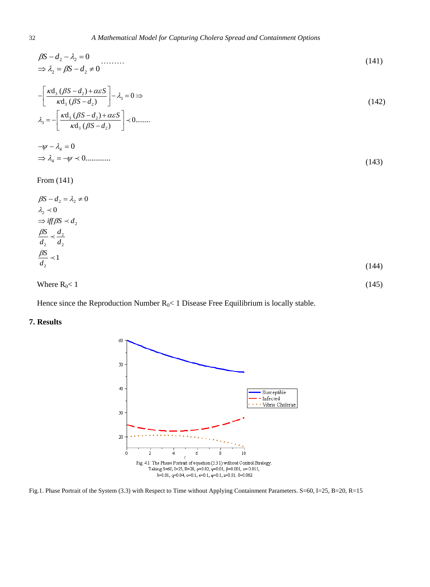$$
\begin{aligned} \beta S - d_2 - \lambda_2 &= 0 \\ \Rightarrow \lambda_2 &= \beta S - d_2 \neq 0 \end{aligned} \tag{141}
$$

$$
-\left[\frac{\kappa d_3 (\beta S - d_2) + \alpha \varepsilon S}{\kappa d_3 (\beta S - d_2)}\right] - \lambda_3 = 0 \Rightarrow
$$
  

$$
\lambda_3 = -\left[\frac{\kappa d_3 (\beta S - d_2) + \alpha \varepsilon S}{\kappa d_3 (\beta S - d_2)}\right] \prec 0 \dots \dots \tag{142}
$$

$$
-\psi - \lambda_4 = 0
$$
  
\n
$$
\Rightarrow \lambda_4 = -\psi \prec 0
$$
...(143)

From (141)

$$
\beta S - d_2 = \lambda_2 \neq 0
$$
  
\n
$$
\lambda_2 \prec 0
$$
  
\n
$$
\Rightarrow \text{iff } \beta S \prec d_2
$$
  
\n
$$
\frac{\beta S}{d_2} \prec \frac{d_2}{d_2}
$$
  
\n
$$
\frac{\beta S}{d_2} \prec 1
$$
\n(144)

Where  $R_0 < 1$  (145)

Hence since the Reproduction Number  $R_0$ < 1 Disease Free Equilibrium is locally stable.

# **7. Results**



Fig.1. Phase Portrait of the System (3.3) with Respect to Time without Applying Containment Parameters. S=60, I=25, B=20, R=15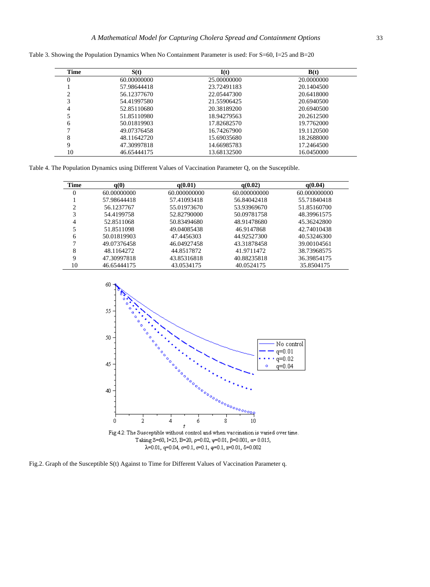| Time | S(t)        | I(t)        | B(t)       |
|------|-------------|-------------|------------|
| 0    | 60.00000000 | 25.00000000 | 20.0000000 |
|      | 57.98644418 | 23.72491183 | 20.1404500 |
|      | 56.12377670 | 22.05447300 | 20.6418000 |
| 3    | 54.41997580 | 21.55906425 | 20.6940500 |
| 4    | 52.85110680 | 20.38189200 | 20.6940500 |
|      | 51.85110980 | 18.94279563 | 20.2612500 |
| 6    | 50.01819903 | 17.82682570 | 19.7762000 |
|      | 49.07376458 | 16.74267900 | 19.1120500 |
| 8    | 48.11642720 | 15.69035680 | 18.2688000 |
| 9    | 47.30997818 | 14.66985783 | 17.2464500 |
| 10   | 46.65444175 | 13.68132500 | 16.0450000 |

Table 3. Showing the Population Dynamics When No Containment Parameter is used: For S=60, I=25 and B=20

Table 4. The Population Dynamics using Different Values of Vaccination Parameter Q, on the Susceptible.

| Time             | q(0)        | q(0.01)      | q(0.02)      | q(0.04)      |
|------------------|-------------|--------------|--------------|--------------|
| $\boldsymbol{0}$ | 60.00000000 | 60.000000000 | 60.000000000 | 60.000000000 |
|                  | 57.98644418 | 57.41093418  | 56.84042418  | 55.71840418  |
| 2                | 56.1237767  | 55.01973670  | 53.93969670  | 51.85160700  |
| 3                | 54.4199758  | 52.82790000  | 50.09781758  | 48.39961575  |
| 4                | 52.8511068  | 50.83494680  | 48.91478680  | 45.36242800  |
|                  | 51.8511098  | 49.04085438  | 46.9147868   | 42.74010438  |
| 6                | 50.01819903 | 47.4456303   | 44.92527300  | 40.53246300  |
|                  | 49.07376458 | 46.04927458  | 43.31878458  | 39.00104561  |
| 8                | 48.1164272  | 44.8517872   | 41.9711472   | 38.73968575  |
| 9                | 47.30997818 | 43.85316818  | 40.88235818  | 36.39854175  |
| 10               | 46.65444175 | 43.0534175   | 40.0524175   | 35.8504175   |



Fig.2. Graph of the Susceptible S(t) Against to Time for Different Values of Vaccination Parameter q.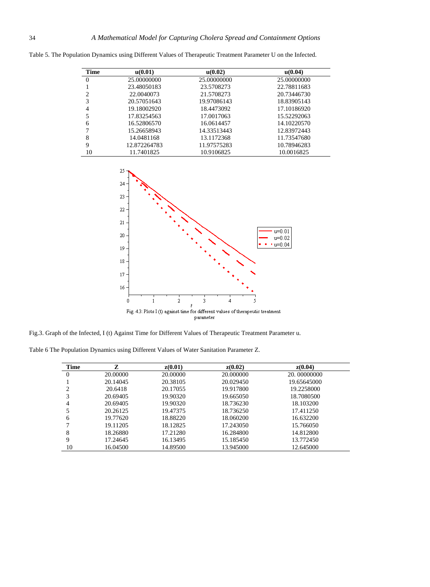| <b>Time</b>    | u(0.01)      | u(0.02)     | u(0.04)     |
|----------------|--------------|-------------|-------------|
| $\theta$       | 25.00000000  | 25,00000000 | 25.00000000 |
|                | 23.48050183  | 23.5708273  | 22.78811683 |
| $\overline{c}$ | 22.0040073   | 21.5708273  | 20.73446730 |
| 3              | 20.57051643  | 19.97086143 | 18.83905143 |
| 4              | 19.18002920  | 18.4473092  | 17.10186920 |
| 5              | 17.83254563  | 17.0017063  | 15.52292063 |
| 6              | 16.52806570  | 16.0614457  | 14.10220570 |
|                | 15.26658943  | 14.33513443 | 12.83972443 |
| 8              | 14.0481168   | 13.1172368  | 11.73547680 |
| 9              | 12.872264783 | 11.97575283 | 10.78946283 |
| 10             | 11.7401825   | 10.9106825  | 10.0016825  |

Table 5. The Population Dynamics using Different Values of Therapeutic Treatment Parameter U on the Infected.



Fig.3. Graph of the Infected, I (t) Against Time for Different Values of Therapeutic Treatment Parameter u.

Table 6 The Population Dynamics using Different Values of Water Sanitation Parameter Z.

| <b>Time</b> | Z        | z(0.01)  | z(0.02)   | z(0.04)     |
|-------------|----------|----------|-----------|-------------|
| $\theta$    | 20,00000 | 20.00000 | 20.000000 | 20.00000000 |
|             | 20.14045 | 20.38105 | 20.029450 | 19.65645000 |
| 2           | 20.6418  | 20.17055 | 19.917800 | 19.2258000  |
| 3           | 20.69405 | 19.90320 | 19.665050 | 18.7080500  |
| 4           | 20.69405 | 19.90320 | 18.736230 | 18.103200   |
|             | 20.26125 | 19.47375 | 18.736250 | 17.411250   |
| 6           | 19.77620 | 18.88220 | 18.060200 | 16.632200   |
|             | 19.11205 | 18.12825 | 17.243050 | 15.766050   |
| 8           | 18.26880 | 17.21280 | 16.284800 | 14.812800   |
| 9           | 17.24645 | 16.13495 | 15.185450 | 13.772450   |
| 10          | 16.04500 | 14.89500 | 13.945000 | 12.645000   |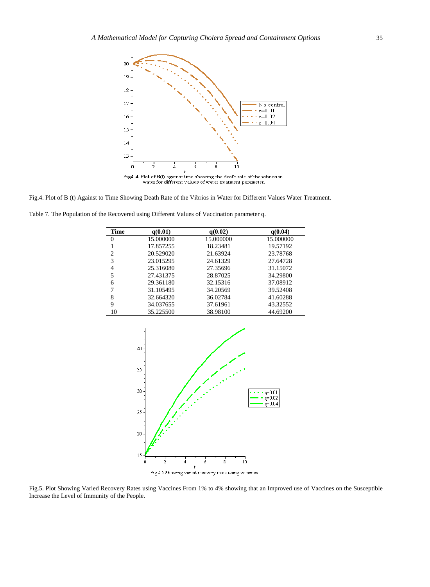

 $\label{eq:1} \textbf{Fig4.4: Plot of } \mathrm{B(t)} \text{ against time showing the death rate of the vibrios in water for different values of water treatment parameter.}$ 

Fig.4. Plot of B (t) Against to Time Showing Death Rate of the Vibrios in Water for Different Values Water Treatment.

Table 7. The Population of the Recovered using Different Values of Vaccination parameter q.

| Time           | q(0.01)   | q(0.02)   | q(0.04)   |
|----------------|-----------|-----------|-----------|
| 0              | 15.000000 | 15.000000 | 15.000000 |
|                | 17.857255 | 18.23481  | 19.57192  |
| $\overline{c}$ | 20.529020 | 21.63924  | 23.78768  |
| 3              | 23.015295 | 24.61329  | 27.64728  |
| 4              | 25.316080 | 27.35696  | 31.15072  |
| 5              | 27.431375 | 28.87025  | 34.29800  |
| 6              | 29.361180 | 32.15316  | 37.08912  |
| 7              | 31.105495 | 34.20569  | 39.52408  |
| 8              | 32.664320 | 36.02784  | 41.60288  |
| 9              | 34.037655 | 37.61961  | 43.32552  |
| 10             | 35.225500 | 38.98100  | 44.69200  |



Fig.5. Plot Showing Varied Recovery Rates using Vaccines From 1% to 4% showing that an Improved use of Vaccines on the Susceptible Increase the Level of Immunity of the People.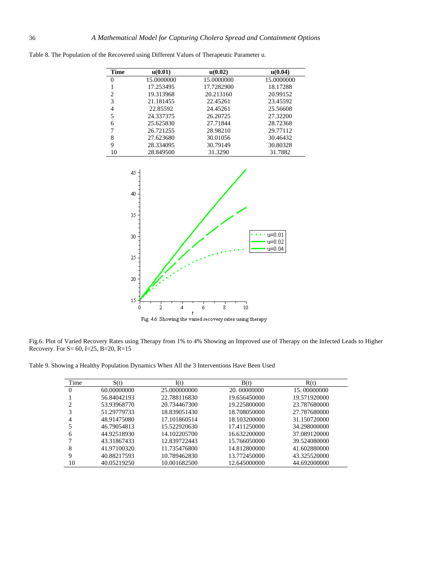| Time | u(0.01)    | u(0.02)    | u(0.04)    |
|------|------------|------------|------------|
| 0    | 15.0000000 | 15.0000000 | 15.0000000 |
|      | 17.253495  | 17.7282900 | 18.17288   |
| 2    | 19.313968  | 20.213160  | 20.99152   |
| 3    | 21.181455  | 22.45261   | 23.45592   |
| 4    | 22.85592   | 24.45261   | 25.56608   |
| 5    | 24.337375  | 26.20725   | 27.32200   |
| 6    | 25.625830  | 27.71844   | 28.72368   |
|      | 26.721255  | 28.98210   | 29.77112   |
| 8    | 27.623680  | 30.01056   | 30.46432   |
| 9    | 28.334095  | 30.79149   | 30.80328   |
| 10   | 28.849500  | 31.3290    | 31.7882    |

Table 8. The Population of the Recovered using Different Values of Therapeutic Parameter u.



Fig.6. Plot of Varied Recovery Rates using Therapy from 1% to 4% Showing an Improved use of Therapy on the Infected Leads to Higher

Table 9. Showing a Healthy Population Dynamics When All the 3 Interventions Have Been Used

Recovery. For S= 60, I=25, B=20, R=15

| Time             | S(t)        | I(t)         | B(t)         | R(t)         |
|------------------|-------------|--------------|--------------|--------------|
| $\boldsymbol{0}$ | 60.00000000 | 25.000000000 | 20.00000000  | 15.00000000  |
|                  | 56.84042193 | 22.788116830 | 19.656450000 | 19.571920000 |
| 2                | 53.93968770 | 20.734467300 | 19.225800000 | 23.787680000 |
| 3                | 51.29779733 | 18.839051430 | 18.708050000 | 27.787680000 |
| 4                | 48.91475080 | 17.101860514 | 18.103200000 | 31.150720000 |
| 5                | 46.79054813 | 15.522920630 | 17.411250000 | 34.298000000 |
| 6                | 44.92518930 | 14.102205700 | 16.632200000 | 37.089120000 |
| 7                | 43.31867433 | 12.839722443 | 15.766050000 | 39.524080000 |
| 8                | 41.97100320 | 11.735476800 | 14.812800000 | 41.602880000 |
| 9                | 40.88217593 | 10.789462830 | 13.772450000 | 43.325520000 |
| 10               | 40.05219250 | 10.001682500 | 12.645000000 | 44.692000000 |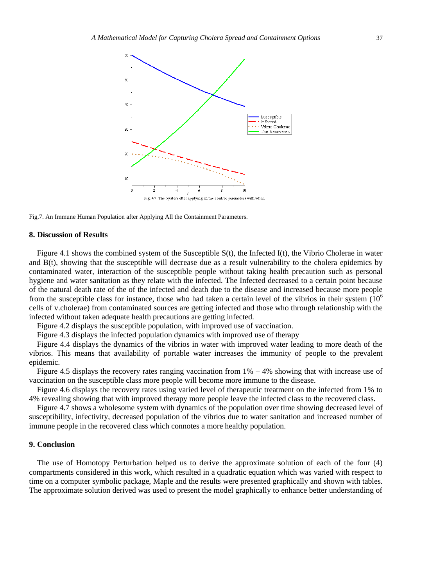

Fig.7. An Immune Human Population after Applying All the Containment Parameters.

#### **8. Discussion of Results**

Figure 4.1 shows the combined system of the Susceptible S(t), the Infected I(t), the Vibrio Cholerae in water and B(t), showing that the susceptible will decrease due as a result vulnerability to the cholera epidemics by contaminated water, interaction of the susceptible people without taking health precaution such as personal hygiene and water sanitation as they relate with the infected. The Infected decreased to a certain point because of the natural death rate of the of the infected and death due to the disease and increased because more people from the susceptible class for instance, those who had taken a certain level of the vibrios in their system  $(10<sup>6</sup>)$ cells of v.cholerae) from contaminated sources are getting infected and those who through relationship with the infected without taken adequate health precautions are getting infected.

Figure 4.2 displays the susceptible population, with improved use of vaccination.

Figure 4.3 displays the infected population dynamics with improved use of therapy

Figure 4.4 displays the dynamics of the vibrios in water with improved water leading to more death of the vibrios. This means that availability of portable water increases the immunity of people to the prevalent epidemic.

Figure 4.5 displays the recovery rates ranging vaccination from  $1\% - 4\%$  showing that with increase use of vaccination on the susceptible class more people will become more immune to the disease.

Figure 4.6 displays the recovery rates using varied level of therapeutic treatment on the infected from 1% to 4% revealing showing that with improved therapy more people leave the infected class to the recovered class.

Figure 4.7 shows a wholesome system with dynamics of the population over time showing decreased level of susceptibility, infectivity, decreased population of the vibrios due to water sanitation and increased number of immune people in the recovered class which connotes a more healthy population.

## **9. Conclusion**

The use of Homotopy Perturbation helped us to derive the approximate solution of each of the four (4) compartments considered in this work, which resulted in a quadratic equation which was varied with respect to time on a computer symbolic package, Maple and the results were presented graphically and shown with tables. The approximate solution derived was used to present the model graphically to enhance better understanding of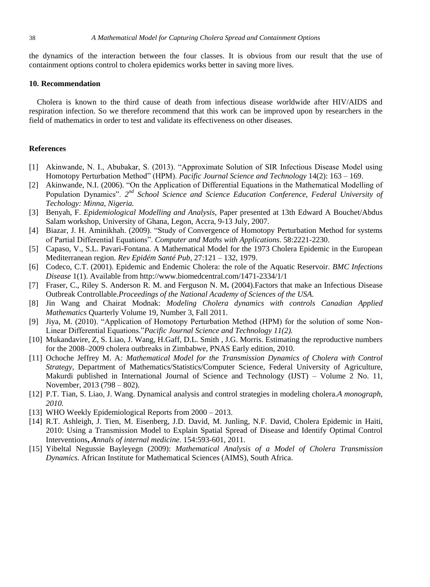the dynamics of the interaction between the four classes. It is obvious from our result that the use of containment options control to cholera epidemics works better in saving more lives.

#### **10. Recommendation**

Cholera is known to the third cause of death from infectious disease worldwide after HIV/AIDS and respiration infection. So we therefore recommend that this work can be improved upon by researchers in the field of mathematics in order to test and validate its effectiveness on other diseases.

#### **References**

- [1] Akinwande, N. I., Abubakar, S. (2013). "Approximate Solution of SIR Infectious Disease Model using Homotopy Perturbation Method" (HPM). *Pacific Journal Science and Technology* 14(2): 163 – 169.
- [2] Akinwande, N.I. (2006). "On the Application of Differential Equations in the Mathematical Modelling of Population Dynamics". 2<sup>nd</sup> School Science and Science Education Conference, Federal University of *Techology: Minna, Nigeria.*
- [3] Benyah, F. *Epidemiological Modelling and Analysis*, Paper presented at 13th Edward A Bouchet/Abdus Salam workshop, University of Ghana, Legon, Accra, 9-13 July, 2007.
- [4] Biazar, J. H. Aminikhah. (2009). "Study of Convergence of Homotopy Perturbation Method for systems of Partial Differential Equations". *Computer and Maths with Applications*. 58:2221-2230.
- [5] Capaso, V., S.L. Pavari-Fontana. A Mathematical Model for the 1973 Cholera Epidemic in the European Mediterranean region*. Rev Epidém Santé Pub*, 27:121 – 132, 1979.
- [6] Codeco, C.T. (2001). Epidemic and Endemic Cholera: the role of the Aquatic Reservoir*. BMC Infections Disease* 1(1). Available from<http://www.biomedcentral.com/1471-2334/1/1>
- [7] Fraser, C., Riley S. Anderson R. M. and Ferguson N. M**.** (2004).Factors that make an Infectious Disease Outbreak Controllable.*Proceedings of the National Academy of Sciences of the USA*.
- [8] Jin Wang and Chairat Modnak: *Modeling Cholera dynamics with controls Canadian Applied Mathematics* Quarterly Volume 19, Number 3, Fall 2011.
- [9] Jiya, M. (2010). "Application of Homotopy Perturbation Method (HPM) for the solution of some Non-Linear Differential Equations."*Pacific Journal Science and Technology 11(2).*
- [10] Mukandavire, Z, S. Liao, J. Wang, H.Gaff, D.L. Smith , J.G. Morris. Estimating the reproductive numbers for the 2008–2009 cholera outbreaks in Zimbabwe, PNAS Early edition, 2010.
- [11] Ochoche Jeffrey M. A*: Mathematical Model for the Transmission Dynamics of Cholera with Control Strategy*, Department of Mathematics/Statistics/Computer Science, Federal University of Agriculture, Makurdi published in International Journal of Science and Technology (IJST) – Volume 2 No. 11, November, 2013 (798 – 802).
- [12] P.T. Tian, S. Liao, J. Wang. Dynamical analysis and control strategies in modeling cholera.*A monograph, 2010.*
- [13] WHO Weekly Epidemiological Reports from  $2000 2013$ .
- [14] R.T. Ashleigh, J. Tien, M. Eisenberg, J.D. David, M. Junling, N.F. David, Cholera Epidemic in Haiti, 2010: Using a Transmission Model to Explain Spatial Spread of Disease and Identify Optimal Control Interventions**,** *Annals of internal medicine*. 154:593-601, 2011.
- [15] Yibeltal Negussie Bayleyegn (2009): *Mathematical Analysis of a Model of Cholera Transmission Dynamics.* African Institute for Mathematical Sciences (AIMS), South Africa.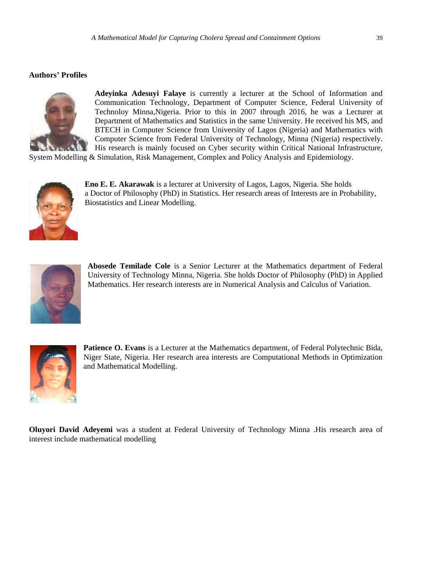# **Authors' Profiles**



**Adeyinka Adesuyi Falaye** is currently a lecturer at the School of Information and Communication Technology, Department of Computer Science, Federal University of Technoloy Minna,Nigeria. Prior to this in 2007 through 2016, he was a Lecturer at Department of Mathematics and Statistics in the same University. He received his MS, and BTECH in Computer Science from University of Lagos (Nigeria) and Mathematics with Computer Science from Federal University of Technology, Minna (Nigeria) respectively. His research is mainly focused on Cyber security within Critical National Infrastructure,

System Modelling & Simulation, Risk Management, Complex and Policy Analysis and Epidemiology.



**Eno E. E. Akarawak** is a lecturer at University of Lagos, Lagos, Nigeria. She holds a Doctor of Philosophy (PhD) in Statistics. Her research areas of Interests are in Probability, Biostatistics and Linear Modelling.



**Abosede Temilade Cole** is a Senior Lecturer at the Mathematics department of Federal University of Technology Minna, Nigeria. She holds Doctor of Philosophy (PhD) in Applied Mathematics. Her research interests are in Numerical Analysis and Calculus of Variation.



**Patience O. Evans** is a Lecturer at the Mathematics department, of Federal Polytechnic Bida, Niger State, Nigeria. Her research area interests are Computational Methods in Optimization and Mathematical Modelling.

**Oluyori David Adeyemi** was a student at Federal University of Technology Minna .His research area of interest include mathematical modelling